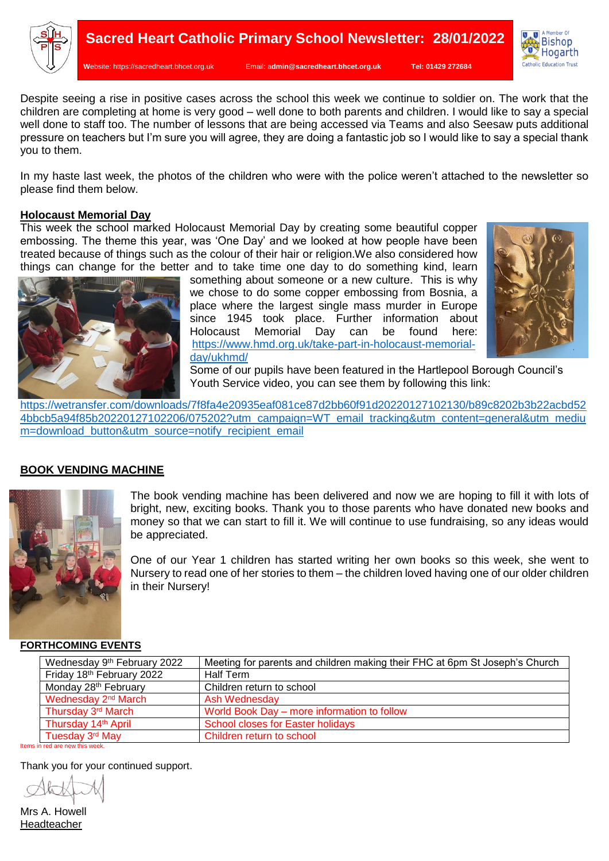



Despite seeing a rise in positive cases across the school this week we continue to soldier on. The work that the children are completing at home is very good – well done to both parents and children. I would like to say a special well done to staff too. The number of lessons that are being accessed via Teams and also Seesaw puts additional pressure on teachers but I'm sure you will agree, they are doing a fantastic job so I would like to say a special thank you to them.

In my haste last week, the photos of the children who were with the police weren't attached to the newsletter so please find them below.

## **Holocaust Memorial Day**

This week the school marked Holocaust Memorial Day by creating some beautiful copper embossing. The theme this year, was 'One Day' and we looked at how people have been treated because of things such as the colour of their hair or religion.We also considered how things can change for the better and to take time one day to do something kind, learn



something about someone or a new culture. This is why we chose to do some copper embossing from Bosnia, a place where the largest single mass murder in Europe since 1945 took place. Further information about Holocaust Memorial Day can be found here: [https://www.hmd.org.uk/take-part-in-holocaust-memorial](https://www.hmd.org.uk/take-part-in-holocaust-memorial-day/ukhmd/)[day/ukhmd/](https://www.hmd.org.uk/take-part-in-holocaust-memorial-day/ukhmd/)



Some of our pupils have been featured in the Hartlepool Borough Council's Youth Service video, you can see them by following this link:

[https://wetransfer.com/downloads/7f8fa4e20935eaf081ce87d2bb60f91d20220127102130/b89c8202b3b22acbd52](https://wetransfer.com/downloads/7f8fa4e20935eaf081ce87d2bb60f91d20220127102130/b89c8202b3b22acbd524bbcb5a94f85b20220127102206/075202?utm_campaign=WT_email_tracking&utm_content=general&utm_medium=download_button&utm_source=notify_recipient_email) [4bbcb5a94f85b20220127102206/075202?utm\\_campaign=WT\\_email\\_tracking&utm\\_content=general&utm\\_mediu](https://wetransfer.com/downloads/7f8fa4e20935eaf081ce87d2bb60f91d20220127102130/b89c8202b3b22acbd524bbcb5a94f85b20220127102206/075202?utm_campaign=WT_email_tracking&utm_content=general&utm_medium=download_button&utm_source=notify_recipient_email) [m=download\\_button&utm\\_source=notify\\_recipient\\_email](https://wetransfer.com/downloads/7f8fa4e20935eaf081ce87d2bb60f91d20220127102130/b89c8202b3b22acbd524bbcb5a94f85b20220127102206/075202?utm_campaign=WT_email_tracking&utm_content=general&utm_medium=download_button&utm_source=notify_recipient_email)

## **BOOK VENDING MACHINE**



The book vending machine has been delivered and now we are hoping to fill it with lots of bright, new, exciting books. Thank you to those parents who have donated new books and money so that we can start to fill it. We will continue to use fundraising, so any ideas would be appreciated.

One of our Year 1 children has started writing her own books so this week, she went to Nursery to read one of her stories to them – the children loved having one of our older children in their Nursery!

## **FORTHCOMING EVENTS**

| Wednesday 9th February 2022      | Meeting for parents and children making their FHC at 6pm St Joseph's Church |
|----------------------------------|-----------------------------------------------------------------------------|
| Friday 18th February 2022        | <b>Half Term</b>                                                            |
| Monday 28 <sup>th</sup> February | Children return to school                                                   |
| Wednesday 2 <sup>nd</sup> March  | Ash Wednesday                                                               |
| Thursday 3 <sup>rd</sup> March   | World Book Day – more information to follow                                 |
| Thursday 14th April              | <b>School closes for Easter holidays</b>                                    |
| Tuesday 3 <sup>rd</sup> May      | Children return to school                                                   |

Items in red are new this week.

Thank you for your continued support.

Mrs A. Howell Headteacher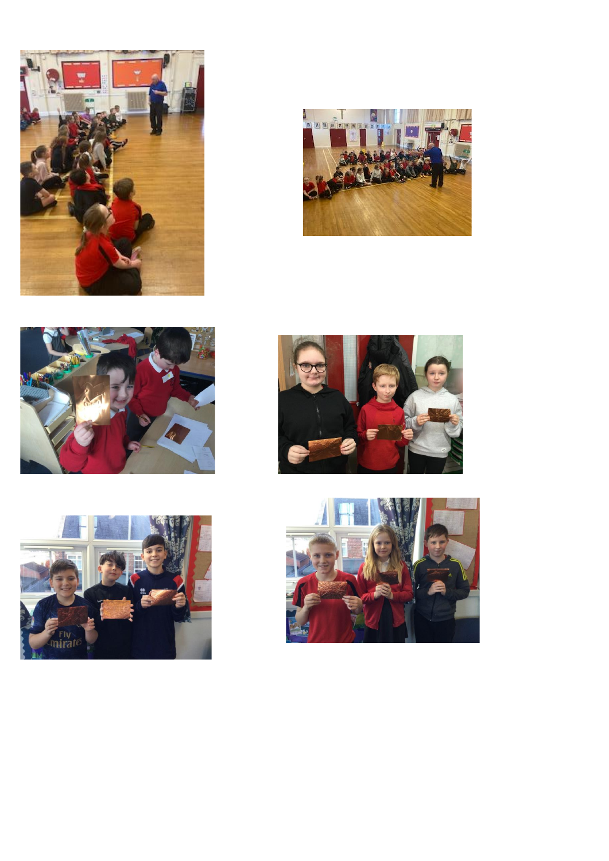